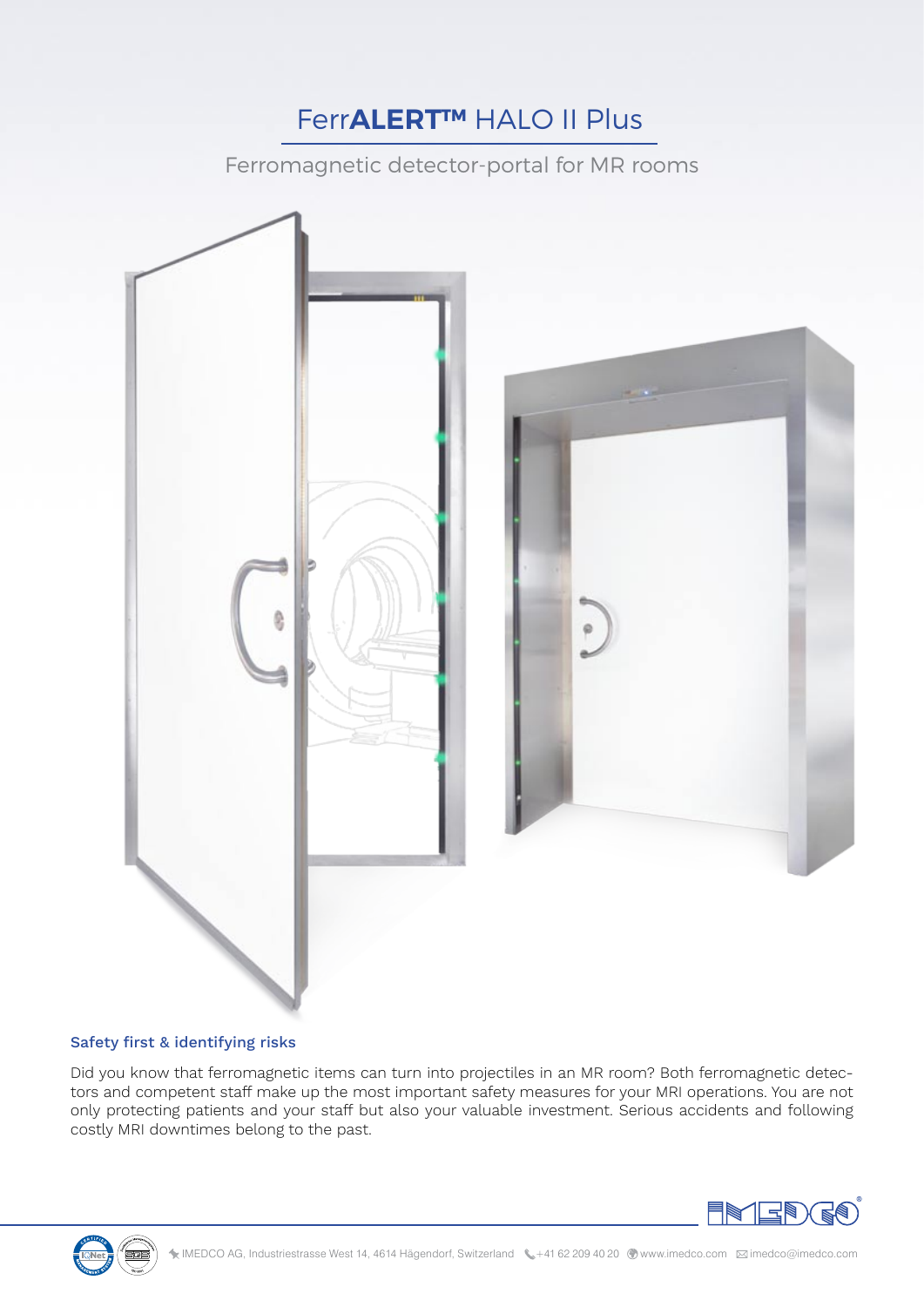## Ferr**ALERT™** HALO II Plus

Ferromagnetic detector-portal for MR rooms





Did you know that ferromagnetic items can turn into projectiles in an MR room? Both ferromagnetic detectors and competent staff make up the most important safety measures for your MRI operations. You are not only protecting patients and your staff but also your valuable investment. Serious accidents and following costly MRI downtimes belong to the past.